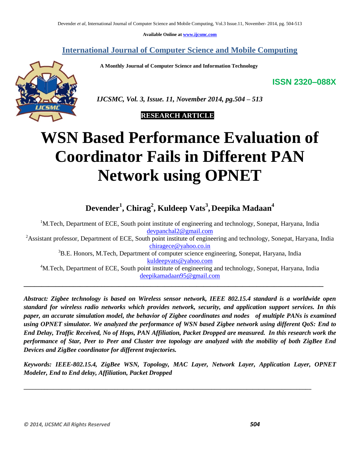**Available Online at www.ijcsmc.com**

## **International Journal of Computer Science and Mobile Computing**

 **A Monthly Journal of Computer Science and Information Technology**

**ISSN 2320–088X**



 *IJCSMC, Vol. 3, Issue. 11, November 2014, pg.504 – 513*

 **RESEARCH ARTICLE**

# **WSN Based Performance Evaluation of Coordinator Fails in Different PAN Network using OPNET**

**Devender<sup>1</sup> , Chirag<sup>2</sup> , Kuldeep Vats<sup>3</sup> , Deepika Madaan 4**

<sup>1</sup>M.Tech, Department of ECE, South point institute of engineering and technology, Sonepat, Haryana, India devpanchal2@gmail.com

<sup>2</sup>Assistant professor, Department of ECE, South point institute of engineering and technology, Sonepat, Haryana, India chiragece@yahoo.co.in

<sup>3</sup>B.E. Honors, M.Tech, Department of computer science engineering, Sonepat, Haryana, India kuldeepvats@yahoo.com

<sup>4</sup>M.Tech, Department of ECE, South point institute of engineering and technology, Sonepat, Haryana, India deepikamadaan95@gmail.com

**\_\_\_\_\_\_\_\_\_\_\_\_\_\_\_\_\_\_\_\_\_\_\_\_\_\_\_\_\_\_\_\_\_\_\_\_\_\_\_\_\_\_\_\_\_\_\_\_\_\_\_\_\_\_\_\_\_\_\_\_\_\_\_\_\_\_\_\_\_\_\_\_\_\_\_\_\_\_\_\_\_\_\_\_\_**

*Abstract: Zigbee technology is based on Wireless sensor network, IEEE 802.15.4 standard is a worldwide open standard for wireless radio networks which provides network, security, and application support services. In this paper, an accurate simulation model, the behavior of Zigbee coordinates and nodes of multiple PANs is examined using OPNET simulator. We analyzed the performance of WSN based Zigbee network using different QoS: End to End Delay, Traffic Received, No of Hops, PAN Affiliation, Packet Dropped are measured. In this research work the performance of Star, Peer to Peer and Cluster tree topology are analyzed with the mobility of both ZigBee End Devices and ZigBee coordinator for different trajectories.*

*Keywords: IEEE-802.15.4, ZigBee WSN, Topology, MAC Layer, Network Layer, Application Layer, OPNET Modeler, End to End delay, Affiliation, Packet Dropped*

**\_\_\_\_\_\_\_\_\_\_\_\_\_\_\_\_\_\_\_\_\_\_\_\_\_\_\_\_\_\_\_\_\_\_\_\_\_\_\_\_\_\_\_\_\_\_\_\_\_\_\_\_\_\_\_\_\_\_\_\_\_\_\_\_\_\_\_\_\_\_\_\_\_\_\_\_\_\_\_\_\_\_\_\_\_\_\_\_\_\_\_\_\_\_\_\_\_\_**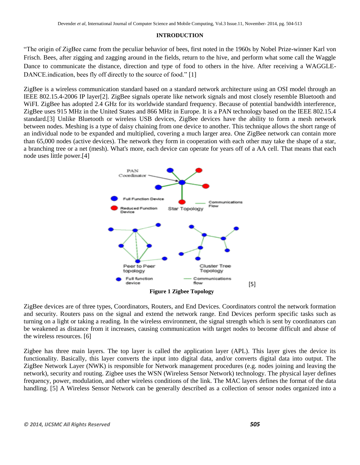#### **INTRODUCTION**

"The origin of ZigBee came from the peculiar behavior of bees, first noted in the 1960s by Nobel Prize-winner Karl von Frisch. Bees, after zigging and zagging around in the fields, return to the hive, and perform what some call the Waggle Dance to communicate the distance, direction and type of food to others in the hive. After receiving a WAGGLE-DANCE indication, bees fly off directly to the source of food." [1]

ZigBee is a wireless communication standard based on a standard network architecture using an OSI model through an IEEE 802.15.4-2006 IP layer[2]. ZigBee signals operate like network signals and most closely resemble Bluetooth and WiFI. ZigBee has adopted 2.4 GHz for its worldwide standard frequency. Because of potential bandwidth interference, ZigBee uses 915 MHz in the United States and 866 MHz in Europe. It is a PAN technology based on the IEEE 802.15.4 standard.[3] Unlike Bluetooth or wireless USB devices, ZigBee devices have the ability to form a mesh network between nodes. Meshing is a type of daisy chaining from one device to another. This technique allows the short range of an individual node to be expanded and multiplied, covering a much larger area. One ZigBee network can contain more than 65,000 nodes (active devices). The network they form in cooperation with each other may take the shape of a star, a branching tree or a net (mesh). What's more, each device can operate for years off of a AA cell. That means that each node uses little power.[4]



ZigBee devices are of three types, Coordinators, Routers, and End Devices. Coordinators control the network formation and security. Routers pass on the signal and extend the network range. End Devices perform specific tasks such as turning on a light or taking a reading. In the wireless environment, the signal strength which is sent by coordinators can be weakened as distance from it increases, causing communication with target nodes to become difficult and abuse of the wireless resources. [6]

Zigbee has three main layers. The top layer is called the application layer (APL). This layer gives the device its functionality. Basically, this layer converts the input into digital data, and/or converts digital data into output. The ZigBee Network Layer (NWK) is responsible for Network management procedures (e.g. nodes joining and leaving the network), security and routing. Zigbee uses the WSN (Wireless Sensor Network) technology. The physical layer defines frequency, power, modulation, and other wireless conditions of the link. The MAC layers defines the format of the data handling. [5] A Wireless Sensor Network can be generally described as a collection of sensor nodes organized into a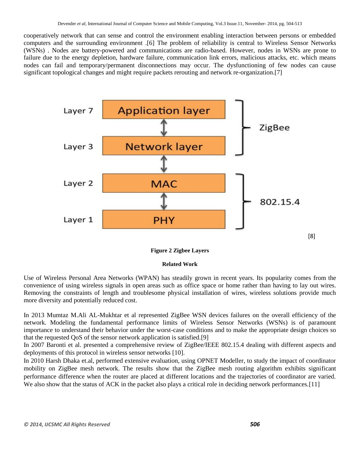cooperatively network that can sense and control the environment enabling interaction between persons or embedded computers and the surrounding environment .[6] The problem of reliability is central to Wireless Sensor Networks (WSNs) . Nodes are battery-powered and communications are radio-based. However, nodes in WSNs are prone to failure due to the energy depletion, hardware failure, communication link errors, malicious attacks, etc. which means nodes can fail and temporary/permanent disconnections may occur. The dysfunctioning of few nodes can cause significant topological changes and might require packets rerouting and network re-organization.[7]



## **Figure 2 Zigbee Layers**

## **Related Work**

Use of Wireless Personal Area Networks (WPAN) has steadily grown in recent years. Its popularity comes from the convenience of using wireless signals in open areas such as office space or home rather than having to lay out wires. Removing the constraints of length and troublesome physical installation of wires, wireless solutions provide much more diversity and potentially reduced cost.

In 2013 Mumtaz M.Ali AL-Mukhtar et al represented ZigBee WSN devices failures on the overall efficiency of the network. Modeling the fundamental performance limits of Wireless Sensor Networks (WSNs) is of paramount importance to understand their behavior under the worst-case conditions and to make the appropriate design choices so that the requested QoS of the sensor network application is satisfied.[9]

In 2007 Baronti et al. presented a comprehensive review of ZigBee/IEEE 802.15.4 dealing with different aspects and deployments of this protocol in wireless sensor networks [10].

In 2010 Harsh Dhaka et.al, performed extensive evaluation, using OPNET Modeller, to study the impact of coordinator mobility on ZigBee mesh network. The results show that the ZigBee mesh routing algorithm exhibits significant performance difference when the router are placed at different locations and the trajectories of coordinator are varied. We also show that the status of ACK in the packet also plays a critical role in deciding network performances.[11]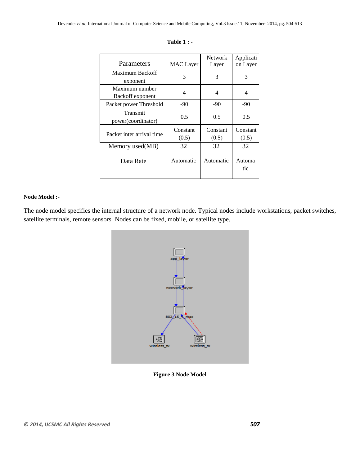|                                    |                   | <b>Network</b>    | Applicati         |
|------------------------------------|-------------------|-------------------|-------------------|
| Parameters                         | <b>MAC</b> Layer  | Layer             | on Layer          |
| Maximum Backoff<br>exponent        | 3                 | 3                 | 3                 |
| Maximum number<br>Backoff exponent | 4                 | 4                 | 4                 |
| Packet power Threshold             | $-90$             | $-90$             | -90               |
| Transmit<br>power(coordinator)     | 0.5               | 0.5               | 0.5               |
| Packet inter arrival time          | Constant<br>(0.5) | Constant<br>(0.5) | Constant<br>(0.5) |
| Memory used(MB)                    | 32                | 32                | 32                |
| Data Rate                          | Automatic         | Automatic         | Automa<br>tic     |

| Table |  |
|-------|--|
|       |  |

## **Node Model :-**

The node model specifies the internal structure of a network node. Typical nodes include workstations, packet switches, satellite terminals, remote sensors. Nodes can be fixed, mobile, or satellite type.



**Figure 3 Node Model**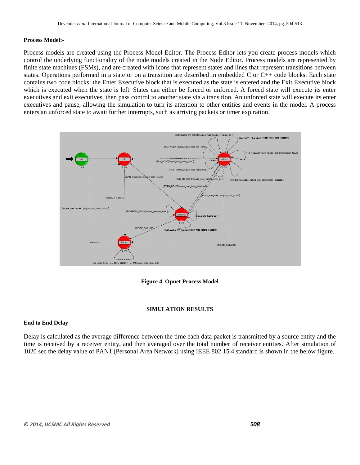## **Process Model:-**

Process models are created using the Process Model Editor. The Process Editor lets you create process models which control the underlying functionality of the node models created in the Node Editor. Process models are represented by finite state machines (FSMs), and are created with icons that represent states and lines that represent transitions between states. Operations performed in a state or on a transition are described in embedded C or C++ code blocks. Each state contains two code blocks: the Enter Executive block that is executed as the state is entered and the Exit Executive block which is executed when the state is left. States can either be forced or unforced. A forced state will execute its enter executives and exit executives, then pass control to another state via a transition. An unforced state will execute its enter executives and pause, allowing the simulation to turn its attention to other entities and events in the model. A process enters an unforced state to await further interrupts, such as arriving packets or timer expiration.



**Figure 4 Opnet Process Model**

## **SIMULATION RESULTS**

## **End to End Delay**

Delay is calculated as the average difference between the time each data packet is transmitted by a source entity and the time is received by a receiver entity, and then averaged over the total number of receiver entities. After simulation of 1020 sec the delay value of PAN1 (Personal Area Network) using IEEE 802.15.4 standard is shown in the below figure.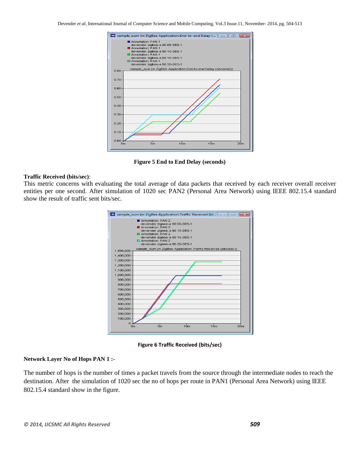

**Figure 5 End to End Delay (seconds)**

#### **Traffic Received (bits/sec)**:

This metric concerns with evaluating the total average of data packets that received by each receiver overall receiver entities per one second. After simulation of 1020 sec PAN2 (Personal Area Network) using IEEE 802.15.4 standard show the result of traffic sent bits/sec.





#### **Network Layer No of Hops PAN 1 :-**

The number of hops is the number of times a packet travels from the source through the intermediate nodes to reach the destination. After the simulation of 1020 sec the no of hops per route in PAN1 (Personal Area Network) using IEEE 802.15.4 standard show in the figure.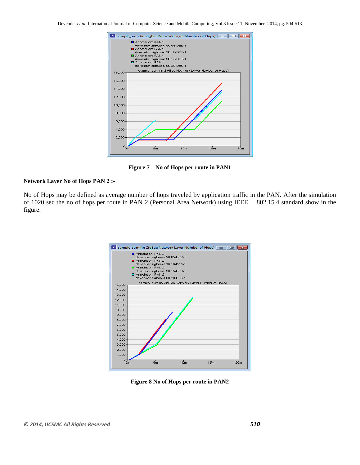

**Figure 7 No of Hops per route in PAN1**

## **Network Layer No of Hops PAN 2 :-**

No of Hops may be defined as average number of hops traveled by application traffic in the PAN. After the simulation of 1020 sec the no of hops per route in PAN 2 (Personal Area Network) using IEEE 802.15.4 standard show in the figure.

| is sample_sum (in ZigBee Network Layer.Number of Hops)<br>$\overline{\mathbf{z}}$<br>$\Box$<br>l-0-l |                                                                                                                                                                                                                      |  |  |
|------------------------------------------------------------------------------------------------------|----------------------------------------------------------------------------------------------------------------------------------------------------------------------------------------------------------------------|--|--|
|                                                                                                      | Annotation: PAN 2<br>devender zigbee-a 90 05-DES-1<br>Annotation: PAN 2<br>devender zigbee-a 90 10-DES-1<br>Annotation: PAN 2<br>devender zigbee-a 90 15-DES-1<br>Annotation: PAN 2<br>devender zigbee-a 90 20-DES-1 |  |  |
| 15,000                                                                                               | sample_sum (in ZigBee Network Layer Number of Hops)                                                                                                                                                                  |  |  |
| 14,000                                                                                               |                                                                                                                                                                                                                      |  |  |
| 13,000                                                                                               |                                                                                                                                                                                                                      |  |  |
| 12,000                                                                                               |                                                                                                                                                                                                                      |  |  |
| 11,000                                                                                               |                                                                                                                                                                                                                      |  |  |
| 10,000                                                                                               |                                                                                                                                                                                                                      |  |  |
| 9,000                                                                                                |                                                                                                                                                                                                                      |  |  |
| 8,000                                                                                                |                                                                                                                                                                                                                      |  |  |
| 7,000                                                                                                |                                                                                                                                                                                                                      |  |  |
| 6,000                                                                                                |                                                                                                                                                                                                                      |  |  |
| 5,000                                                                                                |                                                                                                                                                                                                                      |  |  |
| 4,000                                                                                                |                                                                                                                                                                                                                      |  |  |
| 3,000                                                                                                |                                                                                                                                                                                                                      |  |  |
| 2,000                                                                                                |                                                                                                                                                                                                                      |  |  |
| 1,000                                                                                                |                                                                                                                                                                                                                      |  |  |
| $\Omega$<br>Om                                                                                       | 5m<br>10 <sub>m</sub><br>15m<br>20 <sub>m</sub>                                                                                                                                                                      |  |  |
|                                                                                                      |                                                                                                                                                                                                                      |  |  |

**Figure 8 No of Hops per route in PAN2**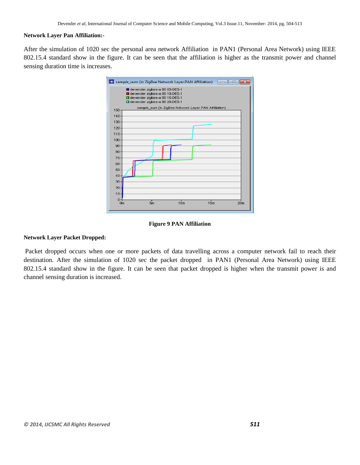## **Network Layer Pan Affiliation:-**

After the simulation of 1020 sec the personal area network Affiliation in PAN1 (Personal Area Network) using IEEE 802.15.4 standard show in the figure. It can be seen that the affiliation is higher as the transmit power and channel sensing duration time is increases.



#### **Figure 9 PAN Affiliation**

#### **Network Layer Packet Dropped:**

Packet dropped occurs when one or more [packets](http://en.wikipedia.org/wiki/Packet_%28information_technology%29) of data travelling across a [computer network](http://en.wikipedia.org/wiki/Computer_network) fail to reach their destination. After the simulation of 1020 sec the packet dropped in PAN1 (Personal Area Network) using IEEE 802.15.4 standard show in the figure. It can be seen that packet dropped is higher when the transmit power is and channel sensing duration is increased.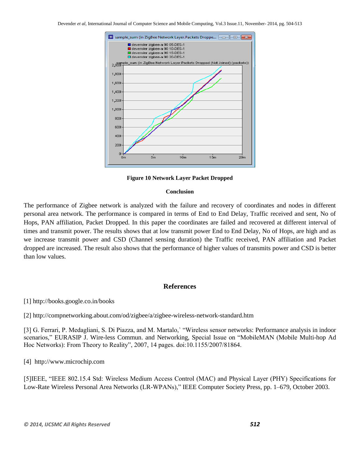

**Figure 10 Network Layer Packet Dropped**

#### **Conclusion**

The performance of Zigbee network is analyzed with the failure and recovery of coordinates and nodes in different personal area network. The performance is compared in terms of End to End Delay, Traffic received and sent, No of Hops, PAN affiliation, Packet Dropped. In this paper the coordinates are failed and recovered at different interval of times and transmit power. The results shows that at low transmit power End to End Delay, No of Hops, are high and as we increase transmit power and CSD (Channel sensing duration) the Traffic received, PAN affiliation and Packet dropped are increased. The result also shows that the performance of higher values of transmits power and CSD is better than low values.

## **References**

[1] http://books.google.co.in/books

[2] <http://compnetworking.about.com/od/zigbee/a/zigbee-wireless-network-standard.htm>

[3] G. Ferrari, P. Medagliani, S. Di Piazza, and M. Martalo,` "Wireless sensor networks: Performance analysis in indoor scenarios," EURASIP J. Wire-less Commun. and Networking, Special Issue on "MobileMAN (Mobile Multi-hop Ad Hoc Networks): From Theory to Reality", 2007, 14 pages. doi:10.1155/2007/81864.

[4] [http://www.microchip.com](http://www.microchip.com/)

[5]IEEE, "IEEE 802.15.4 Std: Wireless Medium Access Control (MAC) and Physical Layer (PHY) Specifications for Low-Rate Wireless Personal Area Networks (LR-WPANs)," IEEE Computer Society Press, pp. 1–679, October 2003.